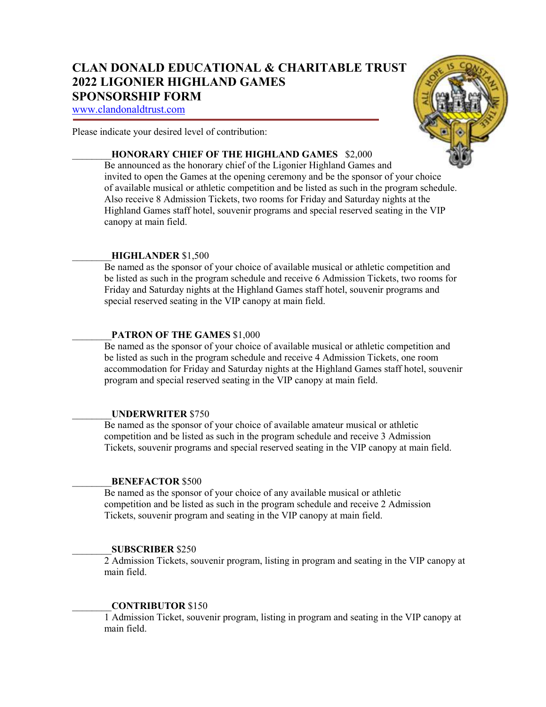# **CLAN DONALD EDUCATIONAL & CHARITABLE TRUST 2022 LIGONIER HIGHLAND GAMES SPONSORSHIP FORM**

www.clandonaldtrust.com

Please indicate your desired level of contribution:

# \_\_\_\_\_\_\_\_**HONORARY CHIEF OF THE HIGHLAND GAMES** \$2,000

Be announced as the honorary chief of the Ligonier Highland Games and invited to open the Games at the opening ceremony and be the sponsor of your choice of available musical or athletic competition and be listed as such in the program schedule. Also receive 8 Admission Tickets, two rooms for Friday and Saturday nights at the Highland Games staff hotel, souvenir programs and special reserved seating in the VIP canopy at main field.

# \_\_\_\_\_\_\_\_**HIGHLANDER** \$1,500

Be named as the sponsor of your choice of available musical or athletic competition and be listed as such in the program schedule and receive 6 Admission Tickets, two rooms for Friday and Saturday nights at the Highland Games staff hotel, souvenir programs and special reserved seating in the VIP canopy at main field.

# PATRON OF THE GAMES \$1,000

Be named as the sponsor of your choice of available musical or athletic competition and be listed as such in the program schedule and receive 4 Admission Tickets, one room accommodation for Friday and Saturday nights at the Highland Games staff hotel, souvenir program and special reserved seating in the VIP canopy at main field.

## \_\_\_\_\_\_\_\_**UNDERWRITER** \$750

Be named as the sponsor of your choice of available amateur musical or athletic competition and be listed as such in the program schedule and receive 3 Admission Tickets, souvenir programs and special reserved seating in the VIP canopy at main field.

## \_\_\_\_\_\_\_\_**BENEFACTOR** \$500

Be named as the sponsor of your choice of any available musical or athletic competition and be listed as such in the program schedule and receive 2 Admission Tickets, souvenir program and seating in the VIP canopy at main field.

## \_\_\_\_\_\_\_\_**SUBSCRIBER** \$250

2 Admission Tickets, souvenir program, listing in program and seating in the VIP canopy at main field.

# \_\_\_\_\_\_\_\_**CONTRIBUTOR** \$150

1 Admission Ticket, souvenir program, listing in program and seating in the VIP canopy at main field.